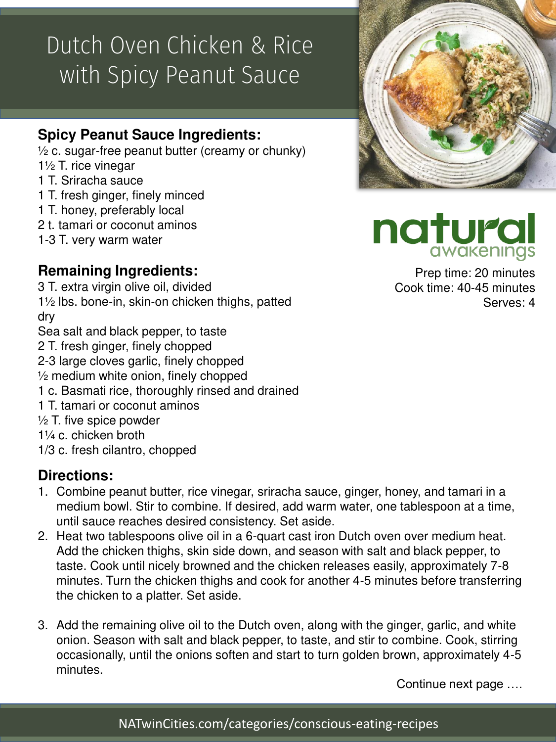# Dutch Oven Chicken & Rice with Spicy Peanut Sauce

### **Spicy Peanut Sauce Ingredients:**

 $\frac{1}{2}$  c. sugar-free peanut butter (creamy or chunky)

- 1½ T. rice vinegar
- 1 T. Sriracha sauce
- 1 T. fresh ginger, finely minced
- 1 T. honey, preferably local
- 2 t. tamari or coconut aminos
- 1-3 T. very warm water

## **Remaining Ingredients:**

- 3 T. extra virgin olive oil, divided 1½ lbs. bone-in, skin-on chicken thighs, patted dry
- Sea salt and black pepper, to taste
- 2 T. fresh ginger, finely chopped
- 2-3 large cloves garlic, finely chopped
- $\frac{1}{2}$  medium white onion, finely chopped
- 1 c. Basmati rice, thoroughly rinsed and drained
- 1 T. tamari or coconut aminos
- $\frac{1}{2}$  T. five spice powder
- 1¼ c. chicken broth
- 1/3 c. fresh cilantro, chopped

#### **Directions:**

- 1. Combine peanut butter, rice vinegar, sriracha sauce, ginger, honey, and tamari in a medium bowl. Stir to combine. If desired, add warm water, one tablespoon at a time, until sauce reaches desired consistency. Set aside.
- 2. Heat two tablespoons olive oil in a 6-quart cast iron Dutch oven over medium heat. Add the chicken thighs, skin side down, and season with salt and black pepper, to taste. Cook until nicely browned and the chicken releases easily, approximately 7-8 minutes. Turn the chicken thighs and cook for another 4-5 minutes before transferring the chicken to a platter. Set aside.
- 3. Add the remaining olive oil to the Dutch oven, along with the ginger, garlic, and white onion. Season with salt and black pepper, to taste, and stir to combine. Cook, stirring occasionally, until the onions soften and start to turn golden brown, approximately 4-5 minutes.

Continue next page ….





Prep time: 20 minutes Cook time: 40-45 minutes Serves: 4